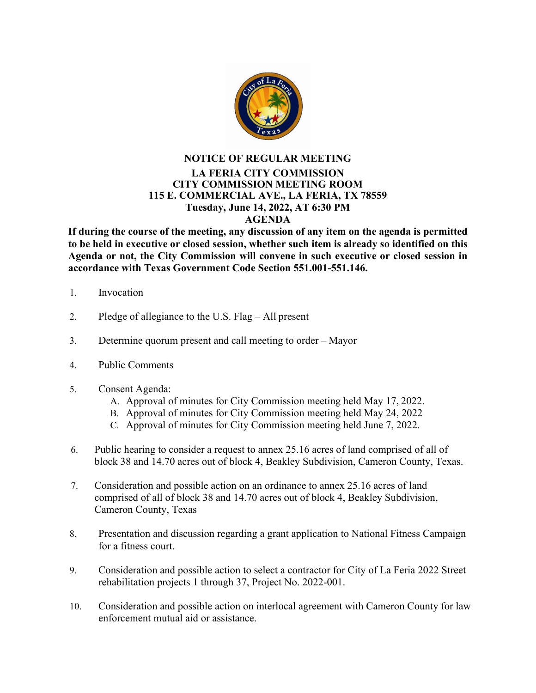

## **NOTICE OF REGULAR MEETING LA FERIA CITY COMMISSION CITY COMMISSION MEETING ROOM 115 E. COMMERCIAL AVE., LA FERIA, TX 78559 Tuesday, June 14, 2022, AT 6:30 PM AGENDA**

**If during the course of the meeting, any discussion of any item on the agenda is permitted to be held in executive or closed session, whether such item is already so identified on this Agenda or not, the City Commission will convene in such executive or closed session in accordance with Texas Government Code Section 551.001-551.146.**

- 1. Invocation
- 2. Pledge of allegiance to the U.S. Flag All present
- 3. Determine quorum present and call meeting to order Mayor
- 4. Public Comments
- 5. Consent Agenda:
	- A. Approval of minutes for City Commission meeting held May 17, 2022.
	- B. Approval of minutes for City Commission meeting held May 24, 2022
	- C. Approval of minutes for City Commission meeting held June 7, 2022.
- 6. Public hearing to consider a request to annex 25.16 acres of land comprised of all of block 38 and 14.70 acres out of block 4, Beakley Subdivision, Cameron County, Texas.
- 7. Consideration and possible action on an ordinance to annex 25.16 acres of land comprised of all of block 38 and 14.70 acres out of block 4, Beakley Subdivision, Cameron County, Texas
- 8. Presentation and discussion regarding a grant application to National Fitness Campaign for a fitness court.
- 9. Consideration and possible action to select a contractor for City of La Feria 2022 Street rehabilitation projects 1 through 37, Project No. 2022-001.
- 10. Consideration and possible action on interlocal agreement with Cameron County for law enforcement mutual aid or assistance.